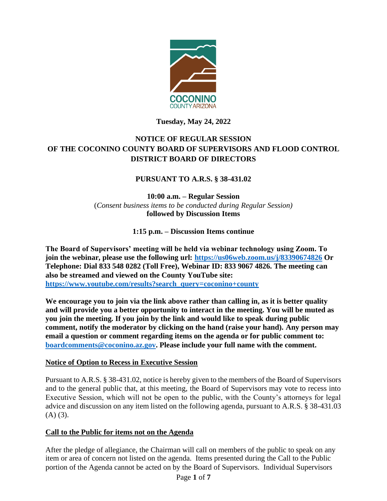

## **Tuesday, May 24, 2022**

# **NOTICE OF REGULAR SESSION OF THE COCONINO COUNTY BOARD OF SUPERVISORS AND FLOOD CONTROL DISTRICT BOARD OF DIRECTORS**

## **PURSUANT TO A.R.S. § 38-431.02**

**10:00 a.m. – Regular Session**  (*Consent business items to be conducted during Regular Session)* **followed by Discussion Items** 

**1:15 p.m. – Discussion Items continue**

**The Board of Supervisors' meeting will be held via webinar technology using Zoom. To join the webinar, please use the following url: <https://us06web.zoom.us/j/83390674826> Or Telephone: Dial 833 548 0282 (Toll Free), Webinar ID: 833 9067 4826. The meeting can also be streamed and viewed on the County YouTube site: [https://www.youtube.com/results?search\\_query=coconino+county](https://www.youtube.com/results?search_query=coconino+county)**

**We encourage you to join via the link above rather than calling in, as it is better quality and will provide you a better opportunity to interact in the meeting. You will be muted as you join the meeting. If you join by the link and would like to speak during public comment, notify the moderator by clicking on the hand (raise your hand). Any person may email a question or comment regarding items on the agenda or for public comment to: [boardcomments@coconino.az.gov.](mailto:boardcomments@coconino.az.gov) Please include your full name with the comment.** 

### **Notice of Option to Recess in Executive Session**

Pursuant to A.R.S. § 38-431.02, notice is hereby given to the members of the Board of Supervisors and to the general public that, at this meeting, the Board of Supervisors may vote to recess into Executive Session, which will not be open to the public, with the County's attorneys for legal advice and discussion on any item listed on the following agenda, pursuant to A.R.S. § 38-431.03  $(A)$   $(3)$ .

### **Call to the Public for items not on the Agenda**

After the pledge of allegiance, the Chairman will call on members of the public to speak on any item or area of concern not listed on the agenda. Items presented during the Call to the Public portion of the Agenda cannot be acted on by the Board of Supervisors. Individual Supervisors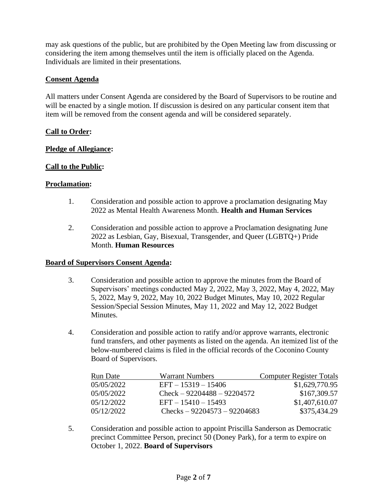may ask questions of the public, but are prohibited by the Open Meeting law from discussing or considering the item among themselves until the item is officially placed on the Agenda. Individuals are limited in their presentations.

## **Consent Agenda**

All matters under Consent Agenda are considered by the Board of Supervisors to be routine and will be enacted by a single motion. If discussion is desired on any particular consent item that item will be removed from the consent agenda and will be considered separately.

### **Call to Order:**

### **Pledge of Allegiance:**

### **Call to the Public:**

#### **Proclamation:**

- 1. Consideration and possible action to approve a proclamation designating May 2022 as Mental Health Awareness Month. **Health and Human Services**
- 2. Consideration and possible action to approve a Proclamation designating June 2022 as Lesbian, Gay, Bisexual, Transgender, and Queer (LGBTQ+) Pride Month. **Human Resources**

#### **Board of Supervisors Consent Agenda:**

- 3. Consideration and possible action to approve the minutes from the Board of Supervisors' meetings conducted May 2, 2022, May 3, 2022, May 4, 2022, May 5, 2022, May 9, 2022, May 10, 2022 Budget Minutes, May 10, 2022 Regular Session/Special Session Minutes, May 11, 2022 and May 12, 2022 Budget **Minutes**
- 4. Consideration and possible action to ratify and/or approve warrants, electronic fund transfers, and other payments as listed on the agenda. An itemized list of the below-numbered claims is filed in the official records of the Coconino County Board of Supervisors.

| Run Date   | Warrant Numbers               | <b>Computer Register Totals</b> |
|------------|-------------------------------|---------------------------------|
| 05/05/2022 | $EFT - 15319 - 15406$         | \$1,629,770.95                  |
| 05/05/2022 | $Check - 92204488 - 92204572$ | \$167,309.57                    |
| 05/12/2022 | $EFT - 15410 - 15493$         | \$1,407,610.07                  |
| 05/12/2022 | Checks $-92204573 - 92204683$ | \$375,434.29                    |

5. Consideration and possible action to appoint Priscilla Sanderson as Democratic precinct Committee Person, precinct 50 (Doney Park), for a term to expire on October 1, 2022. **Board of Supervisors**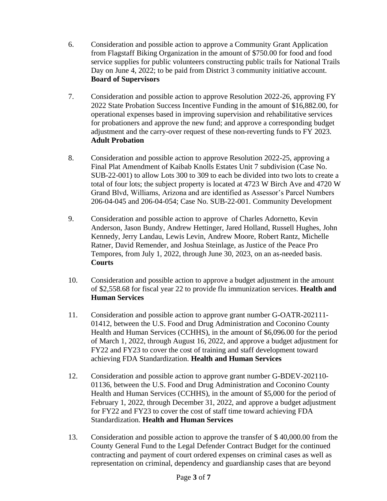- 6. Consideration and possible action to approve a Community Grant Application from Flagstaff Biking Organization in the amount of \$750.00 for food and food service supplies for public volunteers constructing public trails for National Trails Day on June 4, 2022; to be paid from District 3 community initiative account. **Board of Supervisors**
- 7. Consideration and possible action to approve Resolution 2022-26, approving FY 2022 State Probation Success Incentive Funding in the amount of \$16,882.00, for operational expenses based in improving supervision and rehabilitative services for probationers and approve the new fund; and approve a corresponding budget adjustment and the carry-over request of these non-reverting funds to FY 2023. **Adult Probation**
- 8. Consideration and possible action to approve Resolution 2022-25, approving a Final Plat Amendment of Kaibab Knolls Estates Unit 7 subdivision (Case No. SUB-22-001) to allow Lots 300 to 309 to each be divided into two lots to create a total of four lots; the subject property is located at 4723 W Birch Ave and 4720 W Grand Blvd, Williams, Arizona and are identified as Assessor's Parcel Numbers 206-04-045 and 206-04-054; Case No. SUB-22-001. Community Development
- 9. Consideration and possible action to approve of Charles Adornetto, Kevin Anderson, Jason Bundy, Andrew Hettinger, Jared Holland, Russell Hughes, John Kennedy, Jerry Landau, Lewis Levin, Andrew Moore, Robert Rantz, Michelle Ratner, David Remender, and Joshua Steinlage, as Justice of the Peace Pro Tempores, from July 1, 2022, through June 30, 2023, on an as-needed basis. **Courts**
- 10. Consideration and possible action to approve a budget adjustment in the amount of \$2,558.68 for fiscal year 22 to provide flu immunization services. **Health and Human Services**
- 11. Consideration and possible action to approve grant number G-OATR-202111- 01412, between the U.S. Food and Drug Administration and Coconino County Health and Human Services (CCHHS), in the amount of \$6,096.00 for the period of March 1, 2022, through August 16, 2022, and approve a budget adjustment for FY22 and FY23 to cover the cost of training and staff development toward achieving FDA Standardization. **Health and Human Services**
- 12. Consideration and possible action to approve grant number G-BDEV-202110- 01136, between the U.S. Food and Drug Administration and Coconino County Health and Human Services (CCHHS), in the amount of \$5,000 for the period of February 1, 2022, through December 31, 2022, and approve a budget adjustment for FY22 and FY23 to cover the cost of staff time toward achieving FDA Standardization. **Health and Human Services**
- 13. Consideration and possible action to approve the transfer of \$ 40,000.00 from the County General Fund to the Legal Defender Contract Budget for the continued contracting and payment of court ordered expenses on criminal cases as well as representation on criminal, dependency and guardianship cases that are beyond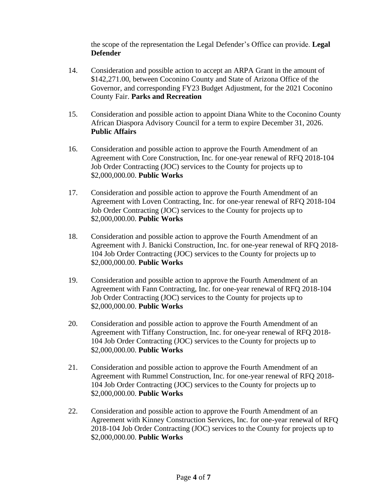the scope of the representation the Legal Defender's Office can provide. **Legal Defender**

- 14. Consideration and possible action to accept an ARPA Grant in the amount of \$142,271.00, between Coconino County and State of Arizona Office of the Governor, and corresponding FY23 Budget Adjustment, for the 2021 Coconino County Fair. **Parks and Recreation**
- 15. Consideration and possible action to appoint Diana White to the Coconino County African Diaspora Advisory Council for a term to expire December 31, 2026. **Public Affairs**
- 16. Consideration and possible action to approve the Fourth Amendment of an Agreement with Core Construction, Inc. for one-year renewal of RFQ 2018-104 Job Order Contracting (JOC) services to the County for projects up to \$2,000,000.00. **Public Works**
- 17. Consideration and possible action to approve the Fourth Amendment of an Agreement with Loven Contracting, Inc. for one-year renewal of RFQ 2018-104 Job Order Contracting (JOC) services to the County for projects up to \$2,000,000.00. **Public Works**
- 18. Consideration and possible action to approve the Fourth Amendment of an Agreement with J. Banicki Construction, Inc. for one-year renewal of RFQ 2018- 104 Job Order Contracting (JOC) services to the County for projects up to \$2,000,000.00. **Public Works**
- 19. Consideration and possible action to approve the Fourth Amendment of an Agreement with Fann Contracting, Inc. for one-year renewal of RFQ 2018-104 Job Order Contracting (JOC) services to the County for projects up to \$2,000,000.00. **Public Works**
- 20. Consideration and possible action to approve the Fourth Amendment of an Agreement with Tiffany Construction, Inc. for one-year renewal of RFQ 2018- 104 Job Order Contracting (JOC) services to the County for projects up to \$2,000,000.00. **Public Works**
- 21. Consideration and possible action to approve the Fourth Amendment of an Agreement with Rummel Construction, Inc. for one-year renewal of RFQ 2018- 104 Job Order Contracting (JOC) services to the County for projects up to \$2,000,000.00. **Public Works**
- 22. Consideration and possible action to approve the Fourth Amendment of an Agreement with Kinney Construction Services, Inc. for one-year renewal of RFQ 2018-104 Job Order Contracting (JOC) services to the County for projects up to \$2,000,000.00. **Public Works**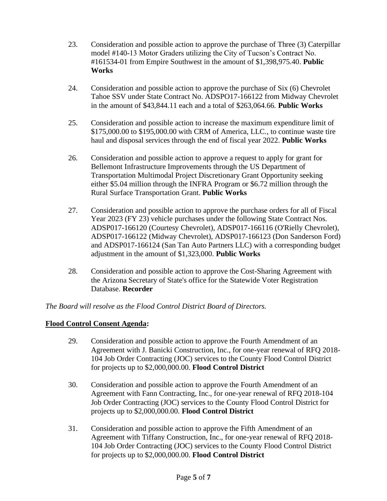- 23. Consideration and possible action to approve the purchase of Three (3) Caterpillar model #140-13 Motor Graders utilizing the City of Tucson's Contract No. #161534-01 from Empire Southwest in the amount of \$1,398,975.40. **Public Works**
- 24. Consideration and possible action to approve the purchase of Six (6) Chevrolet Tahoe SSV under State Contract No. ADSPO17-166122 from Midway Chevrolet in the amount of \$43,844.11 each and a total of \$263,064.66. **Public Works**
- 25. Consideration and possible action to increase the maximum expenditure limit of \$175,000.00 to \$195,000.00 with CRM of America, LLC., to continue waste tire haul and disposal services through the end of fiscal year 2022. **Public Works**
- 26. Consideration and possible action to approve a request to apply for grant for Bellemont Infrastructure Improvements through the US Department of Transportation Multimodal Project Discretionary Grant Opportunity seeking either \$5.04 million through the INFRA Program or \$6.72 million through the Rural Surface Transportation Grant. **Public Works**
- 27. Consideration and possible action to approve the purchase orders for all of Fiscal Year 2023 (FY 23) vehicle purchases under the following State Contract Nos. ADSP017-166120 (Courtesy Chevrolet), ADSP017-166116 (O'Rielly Chevrolet), ADSP017-166122 (Midway Chevrolet), ADSP017-166123 (Don Sanderson Ford) and ADSP017-166124 (San Tan Auto Partners LLC) with a corresponding budget adjustment in the amount of \$1,323,000. **Public Works**
- 28. Consideration and possible action to approve the Cost-Sharing Agreement with the Arizona Secretary of State's office for the Statewide Voter Registration Database. **Recorder**

*The Board will resolve as the Flood Control District Board of Directors.*

### **Flood Control Consent Agenda:**

- 29. Consideration and possible action to approve the Fourth Amendment of an Agreement with J. Banicki Construction, Inc., for one-year renewal of RFQ 2018- 104 Job Order Contracting (JOC) services to the County Flood Control District for projects up to \$2,000,000.00. **Flood Control District**
- 30. Consideration and possible action to approve the Fourth Amendment of an Agreement with Fann Contracting, Inc., for one-year renewal of RFQ 2018-104 Job Order Contracting (JOC) services to the County Flood Control District for projects up to \$2,000,000.00. **Flood Control District**
- 31. Consideration and possible action to approve the Fifth Amendment of an Agreement with Tiffany Construction, Inc., for one-year renewal of RFQ 2018- 104 Job Order Contracting (JOC) services to the County Flood Control District for projects up to \$2,000,000.00. **Flood Control District**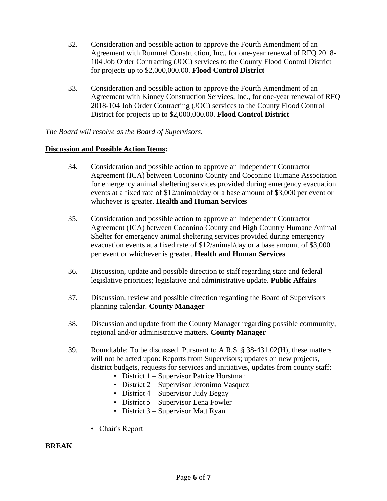- 32. Consideration and possible action to approve the Fourth Amendment of an Agreement with Rummel Construction, Inc., for one-year renewal of RFQ 2018- 104 Job Order Contracting (JOC) services to the County Flood Control District for projects up to \$2,000,000.00. **Flood Control District**
- 33. Consideration and possible action to approve the Fourth Amendment of an Agreement with Kinney Construction Services, Inc., for one-year renewal of RFQ 2018-104 Job Order Contracting (JOC) services to the County Flood Control District for projects up to \$2,000,000.00. **Flood Control District**

## *The Board will resolve as the Board of Supervisors.*

### **Discussion and Possible Action Items:**

- 34. Consideration and possible action to approve an Independent Contractor Agreement (ICA) between Coconino County and Coconino Humane Association for emergency animal sheltering services provided during emergency evacuation events at a fixed rate of \$12/animal/day or a base amount of \$3,000 per event or whichever is greater. **Health and Human Services**
- 35. Consideration and possible action to approve an Independent Contractor Agreement (ICA) between Coconino County and High Country Humane Animal Shelter for emergency animal sheltering services provided during emergency evacuation events at a fixed rate of \$12/animal/day or a base amount of \$3,000 per event or whichever is greater. **Health and Human Services**
- 36. Discussion, update and possible direction to staff regarding state and federal legislative priorities; legislative and administrative update. **Public Affairs**
- 37. Discussion, review and possible direction regarding the Board of Supervisors planning calendar. **County Manager**
- 38. Discussion and update from the County Manager regarding possible community, regional and/or administrative matters. **County Manager**
- 39. Roundtable: To be discussed. Pursuant to A.R.S. § 38-431.02(H), these matters will not be acted upon: Reports from Supervisors; updates on new projects, district budgets, requests for services and initiatives, updates from county staff:
	- District 1 Supervisor Patrice Horstman
	- District 2 Supervisor Jeronimo Vasquez
	- District  $4$  Supervisor Judy Begay
	- District 5 Supervisor Lena Fowler
	- District 3 Supervisor Matt Ryan
	- Chair's Report

### **BREAK**